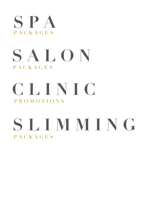

# **S A L O N P A C K A G E S**

# **C L I N I C P R O M O T I O N S**

# **S L I M M I N G P A C K A G E S**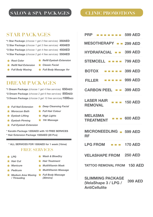#### **SALON & SPA PACKAGES CLINIC PROMOTIONS**

#### **STAR PACKAGES**

**\*1 Star Package** *(choose 1 get 2 free services)* **350AED \*2 Star Package** *(choose 1 get 3 free services)* **400AED \*3 Star Package** *(choose 1 get 4 free services)* **450AED \*4 Star Package** *(choose 2 get 4 free services)* **550AED**

- *Root Color*
- *Refill Eyelash Extension*
- **Refill Nail Extension**
- *Classic Facial*
- 
- *Full Body Waxing Full Body Massage 1hr*

#### **DREAM PACKAGES**

**\*1 Dream Package** *(choose 1 get 4 free services)* **650AED \*2 Dream Package** *(choose 2 get 6 free services)* **850AED \*3 Dream Package** *(choose 3 get 10 free services)***1000AED**

- *Full Nail Extension*
- *Deep Cleansing Facial*
- *Moroccan Bath Eyelash Lifting*
- *Full Hair Colour High Lights 1Hr Massage*
- *Eyelash Pirming*
- *Full Eyelash Extension*

**\* Keratin Package 1200AED with 10 FREE SERVICES**

**\* Hair Extension Package 1500AED (20 Pcs)**

**\* ALL SERVICES FOR 1500AED for 1 week (1time)**

#### **FREE SERVICES**

- $+$ *LPG*
- *Hair Cut*
- *Manicure*
- *Pedicure*
- *Full Body Massage Medium Area Waxing / Threading*
- *Wash & BlowDry*
- *Hair Treatment*
- *MultiVitamin Mask*
- *MultiVitamin Massage*
	- *(30mins)*

| PRP<br><b>THE REAL</b>                                                                    | <b>599 AED</b>                        |
|-------------------------------------------------------------------------------------------|---------------------------------------|
| $MESOTHERAPY =$                                                                           | <b>299 AED</b>                        |
| <b>HYDRAFACIAL</b><br><b>The Co</b>                                                       | <b>399 AED</b>                        |
| STEMCELL <b>FEE</b>                                                                       | <b>799 AED</b>                        |
| <b>BOTOX</b><br>.                                                                         | <b>399 AED</b>                        |
| <b>FILLER</b><br><b>The Common</b><br>n n                                                 | <b>999 AED</b>                        |
| CARBON PEEL $\blacksquare$ $\blacksquare$ 399 AED                                         |                                       |
| <b>LASER HAIR</b><br><u>ta ka</u><br><b>REMOVAL</b>                                       | <b>150 AED</b>                        |
| <b>MELASMA</b><br><b>TREATMENT</b>                                                        | $\blacksquare$ $\blacksquare$ 600 AED |
| MICRONEEDLING 599 AED<br><b>RF</b>                                                        |                                       |
| <b>LPG FROM</b><br><b>TIME</b>                                                            | <b>170 AED</b>                        |
| <b>VELASHAPE FROM 250 AED</b>                                                             |                                       |
| <b>TATTOO REMOVAL FROM 150 AED</b>                                                        |                                       |
| <b>SLIMMING PACKAGE</b><br><b>399 AED</b><br>(VelaShape 3 / LPG /<br><b>AntiCellulite</b> |                                       |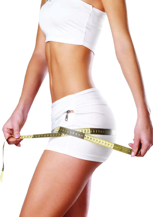